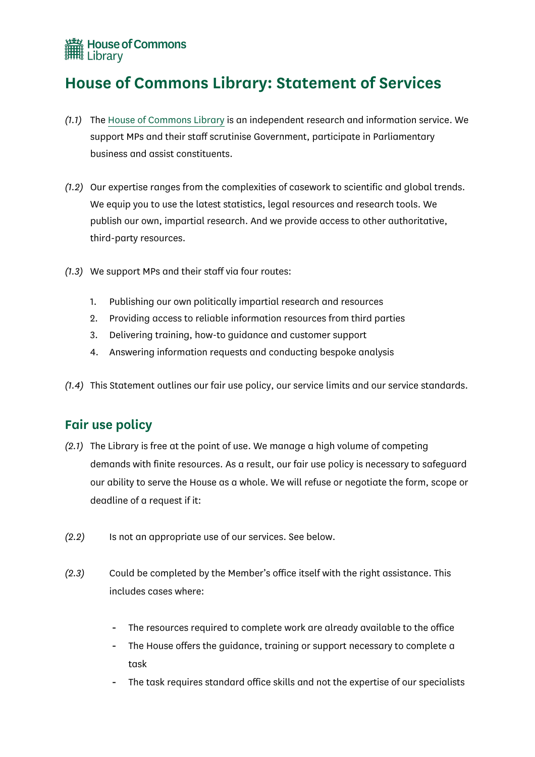

## **House of Commons Library: Statement of Services**

- *(1.1)* The House of Commons Library is an independent research and information service. We support MPs and their staff scrutinise Government, participate in Parliamentary business and assist constituents.
- *(1.2)* Our expertise ranges from the complexities of casework to scientific and global trends. We equip you to use the latest statistics, legal resources and research tools. We publish our own, impartial research. And we provide access to other authoritative, third-party resources.
- *(1.3)* We support MPs and their staff via four routes:
	- 1. Publishing our own politically impartial research and resources
	- 2. Providing access to reliable information resources from third parties
	- 3. Delivering training, how-to guidance and customer support
	- 4. Answering information requests and conducting bespoke analysis
- *(1.4)* This Statement outlines our fair use policy, our service limits and our service standards.

### **Fair use policy**

- *(2.1)* The Library is free at the point of use. We manage a high volume of competing demands with finite resources. As a result, our fair use policy is necessary to safeguard our ability to serve the House as a whole. We will refuse or negotiate the form, scope or deadline of a request if it:
- *(2.2)* Is not an appropriate use of our services. See below.
- *(2.3)* Could be completed by the Member's office itself with the right assistance. This includes cases where:
	- The resources required to complete work are already available to the office
	- The House offers the guidance, training or support necessary to complete a task
	- The task requires standard office skills and not the expertise of our specialists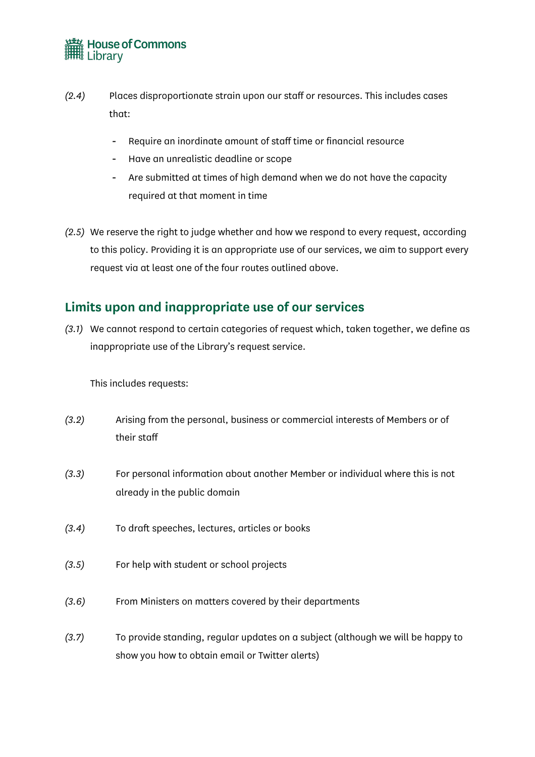# House of Commons<br>
IIII Library

- *(2.4)* Places disproportionate strain upon our staff or resources. This includes cases that:
	- Require an inordinate amount of staff time or financial resource
	- Have an unrealistic deadline or scope
	- Are submitted at times of high demand when we do not have the capacity required at that moment in time
- *(2.5)* We reserve the right to judge whether and how we respond to every request, according to this policy. Providing it is an appropriate use of our services, we aim to support every request via at least one of the four routes outlined above.

### **Limits upon and inappropriate use of our services**

*(3.1)* We cannot respond to certain categories of request which, taken together, we define as inappropriate use of the Library's request service.

This includes requests:

- *(3.2)* Arising from the personal, business or commercial interests of Members or of their staff
- *(3.3)* For personal information about another Member or individual where this is not already in the public domain
- *(3.4)* To draft speeches, lectures, articles or books
- *(3.5)* For help with student or school projects
- *(3.6)* From Ministers on matters covered by their departments
- *(3.7)* To provide standing, regular updates on a subject (although we will be happy to show you how to obtain email or Twitter alerts)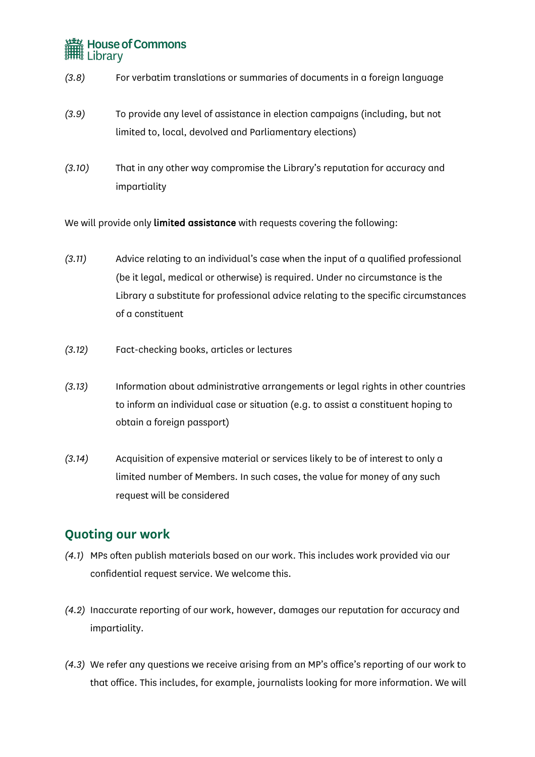# House of Commons<br> **ITHE** Library

- *(3.8)* For verbatim translations or summaries of documents in a foreign language
- *(3.9)* To provide any level of assistance in election campaigns (including, but not limited to, local, devolved and Parliamentary elections)
- *(3.10)* That in any other way compromise the Library's reputation for accuracy and impartiality

We will provide only limited assistance with requests covering the following:

- *(3.11)* Advice relating to an individual's case when the input of a qualified professional (be it legal, medical or otherwise) is required. Under no circumstance is the Library a substitute for professional advice relating to the specific circumstances of a constituent
- *(3.12)* Fact-checking books, articles or lectures
- *(3.13)* Information about administrative arrangements or legal rights in other countries to inform an individual case or situation (e.g. to assist a constituent hoping to obtain a foreign passport)
- *(3.14)* Acquisition of expensive material or services likely to be of interest to only a limited number of Members. In such cases, the value for money of any such request will be considered

### **Quoting our work**

- *(4.1)* MPs often publish materials based on our work. This includes work provided via our confidential request service. We welcome this.
- *(4.2)* Inaccurate reporting of our work, however, damages our reputation for accuracy and impartiality.
- *(4.3)* We refer any questions we receive arising from an MP's office's reporting of our work to that office. This includes, for example, journalists looking for more information. We will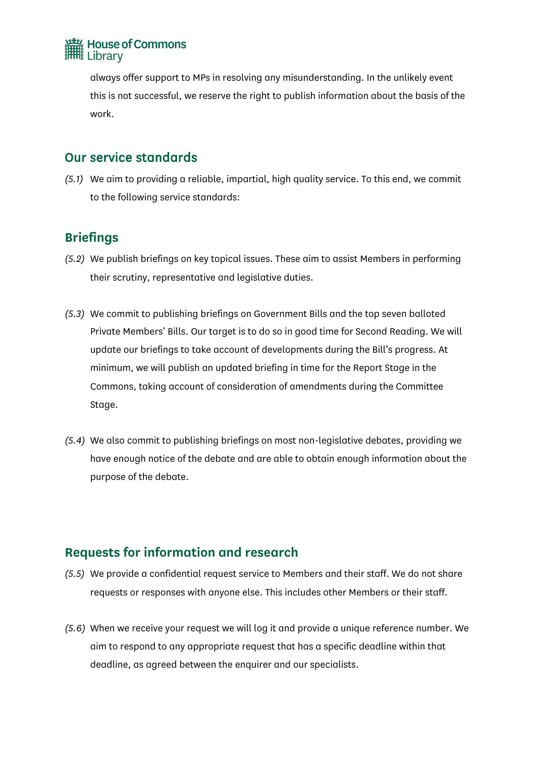

always offer support to MPs in resolving any misunderstanding. In the unlikely event this is not successful, we reserve the right to publish information about the basis of the work.

#### Our service standards

*(5.1)* We aim to providing a reliable, impartial, high quality service. To this end, we commit to the following service standards:

### **Briefings**

- *(5.2)* We publish briefings on key topical issues. These aim to assist Members in performing their scrutiny, representative and legislative duties.
- *(5.3)* We commit to publishing briefings on Government Bills and the top seven balloted Private Members' Bills. Our target is to do so in good time for Second Reading. We will update our briefings to take account of developments during the Bill's progress. At minimum, we will publish an updated briefing in time for the Report Stage in the Commons, taking account of consideration of amendments during the Committee Stage.
- *(5.4)* We also commit to publishing briefings on most non-legislative debates, providing we have enough notice of the debate and are able to obtain enough information about the purpose of the debate.

## **Requests for information and research**

- *(5.5)* We provide a confidential request service to Members and their staff. We do not share requests or responses with anyone else. This includes other Members or their staff.
- *(5.6)* When we receive your request we will log it and provide a unique reference number. We aim to respond to any appropriate request that has a specific deadline within that deadline, as agreed between the enquirer and our specialists.